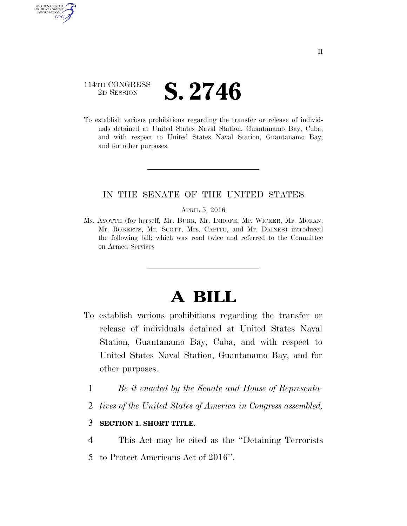# 114TH CONGRESS <sup>2D SESSION</sup> **S. 2746**

AUTHENTICATED U.S. GOVERNMENT GPO

> To establish various prohibitions regarding the transfer or release of individuals detained at United States Naval Station, Guantanamo Bay, Cuba, and with respect to United States Naval Station, Guantanamo Bay, and for other purposes.

## IN THE SENATE OF THE UNITED STATES

#### APRIL 5, 2016

Ms. AYOTTE (for herself, Mr. BURR, Mr. INHOFE, Mr. WICKER, Mr. MORAN, Mr. ROBERTS, Mr. SCOTT, Mrs. CAPITO, and Mr. DAINES) introduced the following bill; which was read twice and referred to the Committee on Armed Services

# **A BILL**

- To establish various prohibitions regarding the transfer or release of individuals detained at United States Naval Station, Guantanamo Bay, Cuba, and with respect to United States Naval Station, Guantanamo Bay, and for other purposes.
	- 1 *Be it enacted by the Senate and House of Representa-*
	- 2 *tives of the United States of America in Congress assembled,*

### 3 **SECTION 1. SHORT TITLE.**

- 4 This Act may be cited as the ''Detaining Terrorists
- 5 to Protect Americans Act of 2016''.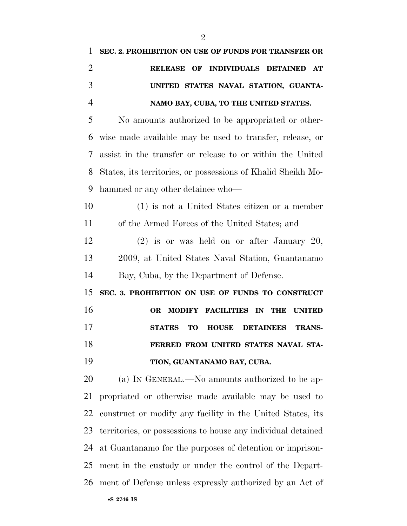| 1              | SEC. 2. PROHIBITION ON USE OF FUNDS FOR TRANSFER OR                               |
|----------------|-----------------------------------------------------------------------------------|
| $\overline{2}$ | RELEASE OF INDIVIDUALS DETAINED AT                                                |
| 3              | UNITED STATES NAVAL STATION, GUANTA-                                              |
| $\overline{4}$ | NAMO BAY, CUBA, TO THE UNITED STATES.                                             |
| 5              | No amounts authorized to be appropriated or other-                                |
| 6              | wise made available may be used to transfer, release, or                          |
| 7              | assist in the transfer or release to or within the United                         |
| 8              | States, its territories, or possessions of Khalid Sheikh Mo-                      |
| 9              | hammed or any other detainee who—                                                 |
| 10             | (1) is not a United States citizen or a member                                    |
| 11             | of the Armed Forces of the United States; and                                     |
| 12             | $(2)$ is or was held on or after January 20,                                      |
| 13             | 2009, at United States Naval Station, Guantanamo                                  |
| 14             | Bay, Cuba, by the Department of Defense.                                          |
| 15             | SEC. 3. PROHIBITION ON USE OF FUNDS TO CONSTRUCT                                  |
| 16             | <b>MODIFY</b><br><b>FACILITIES IN</b><br><b>OR</b><br><b>THE</b><br><b>UNITED</b> |
| 17             | <b>STATES</b><br><b>TO</b><br><b>HOUSE</b><br><b>DETAINEES</b><br><b>TRANS-</b>   |
| 18             | FERRED FROM UNITED STATES NAVAL STA-                                              |
| 19             | TION, GUANTANAMO BAY, CUBA.                                                       |
| 20             | (a) IN GENERAL.—No amounts authorized to be ap-                                   |
| 21             | propriated or otherwise made available may be used to                             |
| 22             | construct or modify any facility in the United States, its                        |
| 23             | territories, or possessions to house any individual detained                      |
| 24             | at Guantanamo for the purposes of detention or imprison-                          |
| 25             | ment in the custody or under the control of the Depart-                           |
| 26             | ment of Defense unless expressly authorized by an Act of                          |
|                | •S 2746 IS                                                                        |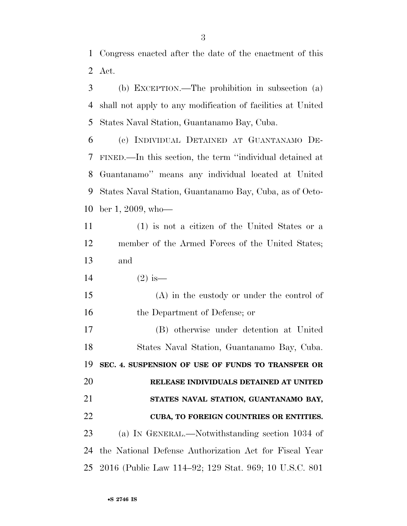Congress enacted after the date of the enactment of this Act.

 (b) EXCEPTION.—The prohibition in subsection (a) shall not apply to any modification of facilities at United States Naval Station, Guantanamo Bay, Cuba.

 (c) INDIVIDUAL DETAINED AT GUANTANAMO DE- FINED.—In this section, the term ''individual detained at Guantanamo'' means any individual located at United States Naval Station, Guantanamo Bay, Cuba, as of Octo-ber 1, 2009, who—

 (1) is not a citizen of the United States or a member of the Armed Forces of the United States; and

14 (2) is—

 (A) in the custody or under the control of the Department of Defense; or

 (B) otherwise under detention at United States Naval Station, Guantanamo Bay, Cuba. **SEC. 4. SUSPENSION OF USE OF FUNDS TO TRANSFER OR RELEASE INDIVIDUALS DETAINED AT UNITED STATES NAVAL STATION, GUANTANAMO BAY, CUBA, TO FOREIGN COUNTRIES OR ENTITIES.**  (a) IN GENERAL.—Notwithstanding section 1034 of the National Defense Authorization Act for Fiscal Year

2016 (Public Law 114–92; 129 Stat. 969; 10 U.S.C. 801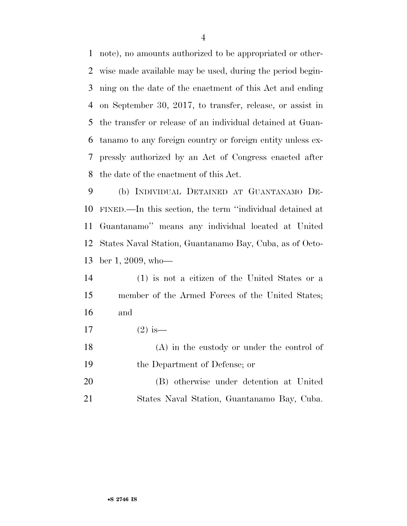note), no amounts authorized to be appropriated or other- wise made available may be used, during the period begin- ning on the date of the enactment of this Act and ending on September 30, 2017, to transfer, release, or assist in the transfer or release of an individual detained at Guan- tanamo to any foreign country or foreign entity unless ex- pressly authorized by an Act of Congress enacted after the date of the enactment of this Act.

 (b) INDIVIDUAL DETAINED AT GUANTANAMO DE- FINED.—In this section, the term ''individual detained at Guantanamo'' means any individual located at United States Naval Station, Guantanamo Bay, Cuba, as of Octo-ber 1, 2009, who—

 (1) is not a citizen of the United States or a member of the Armed Forces of the United States; and

17  $(2)$  is—

 (A) in the custody or under the control of the Department of Defense; or

 (B) otherwise under detention at United States Naval Station, Guantanamo Bay, Cuba.